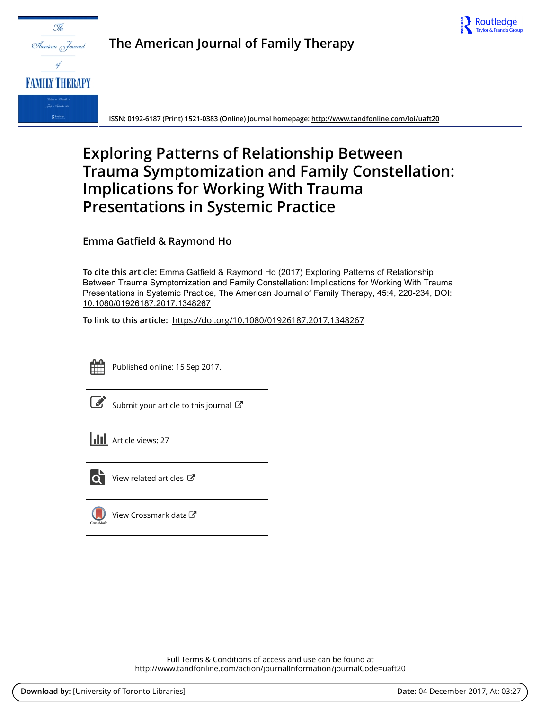



**The American Journal of Family Therapy**

**ISSN: 0192-6187 (Print) 1521-0383 (Online) Journal homepage:<http://www.tandfonline.com/loi/uaft20>**

# **Exploring Patterns of Relationship Between Trauma Symptomization and Family Constellation: Implications for Working With Trauma Presentations in Systemic Practice**

**Emma Gatfield & Raymond Ho**

**To cite this article:** Emma Gatfield & Raymond Ho (2017) Exploring Patterns of Relationship Between Trauma Symptomization and Family Constellation: Implications for Working With Trauma Presentations in Systemic Practice, The American Journal of Family Therapy, 45:4, 220-234, DOI: [10.1080/01926187.2017.1348267](http://www.tandfonline.com/action/showCitFormats?doi=10.1080/01926187.2017.1348267)

**To link to this article:** <https://doi.org/10.1080/01926187.2017.1348267>



Published online: 15 Sep 2017.

|--|

[Submit your article to this journal](http://www.tandfonline.com/action/authorSubmission?journalCode=uaft20&show=instructions)  $\mathbb{Z}$ 

**III** Article views: 27



 $\overline{Q}$  [View related articles](http://www.tandfonline.com/doi/mlt/10.1080/01926187.2017.1348267)  $\mathbb{Z}$ 



[View Crossmark data](http://crossmark.crossref.org/dialog/?doi=10.1080/01926187.2017.1348267&domain=pdf&date_stamp=2017-09-15)  $\mathbb{Z}$ 

Full Terms & Conditions of access and use can be found at <http://www.tandfonline.com/action/journalInformation?journalCode=uaft20>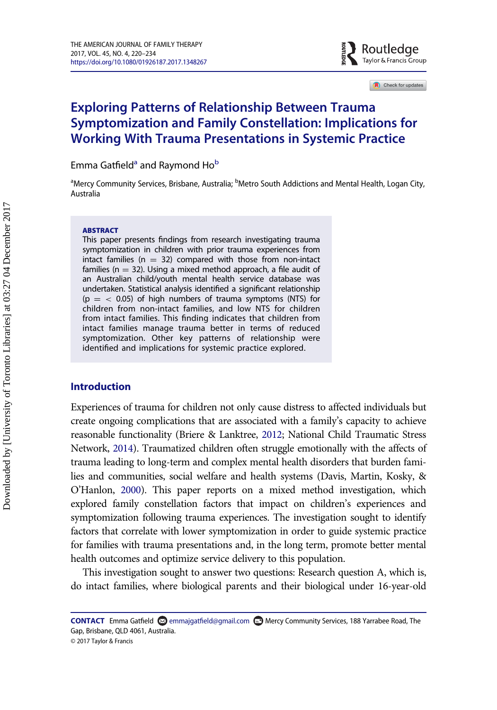

Check for updates

# Exploring Patterns of Relationship Between Trauma Symptomization and Family Constellation: Implications for Working With Trauma Presentations in Systemic Practice

Emm[a](#page-1-0) Gatfield<sup>a</sup> and Raymond Ho<sup>[b](#page-1-0)</sup>

<span id="page-1-0"></span><sup>a</sup>Mercy Community Services, Brisbane, Australia; <sup>b</sup>Metro South Addictions and Mental Health, Logan City, Australia

#### **ABSTRACT**

This paper presents findings from research investigating trauma symptomization in children with prior trauma experiences from intact families ( $n = 32$ ) compared with those from non-intact families ( $n = 32$ ). Using a mixed method approach, a file audit of an Australian child/youth mental health service database was undertaken. Statistical analysis identified a significant relationship ( $p = < 0.05$ ) of high numbers of trauma symptoms (NTS) for children from non-intact families, and low NTS for children from intact families. This finding indicates that children from intact families manage trauma better in terms of reduced symptomization. Other key patterns of relationship were identified and implications for systemic practice explored.

# Introduction

Experiences of trauma for children not only cause distress to affected individuals but create ongoing complications that are associated with a family's capacity to achieve reasonable functionality (Briere & Lanktree, [2012;](#page-13-0) National Child Traumatic Stress Network, [2014\)](#page-14-0). Traumatized children often struggle emotionally with the affects of trauma leading to long-term and complex mental health disorders that burden families and communities, social welfare and health systems (Davis, Martin, Kosky, & O'Hanlon, [2000\)](#page-13-1). This paper reports on a mixed method investigation, which explored family constellation factors that impact on children's experiences and symptomization following trauma experiences. The investigation sought to identify factors that correlate with lower symptomization in order to guide systemic practice for families with trauma presentations and, in the long term, promote better mental health outcomes and optimize service delivery to this population.

This investigation sought to answer two questions: Research question A, which is, do intact families, where biological parents and their biological under 16-year-old

CONTACT Emma Gatfield  $\Omega$  emmajgatfi[eld@gmail.com](mailto:emmajgatfield@gmail.com)  $\Omega$  Mercy Community Services, 188 Yarrabee Road, The Gap, Brisbane, QLD 4061, Australia.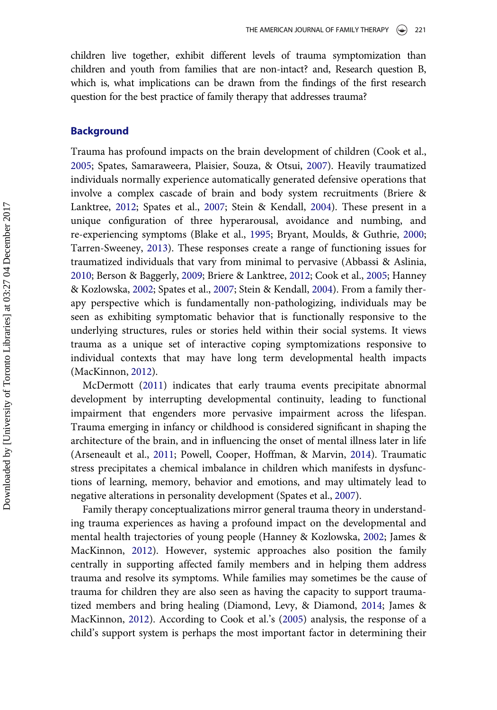children live together, exhibit different levels of trauma symptomization than children and youth from families that are non-intact? and, Research question B, which is, what implications can be drawn from the findings of the first research question for the best practice of family therapy that addresses trauma?

### Background

Trauma has profound impacts on the brain development of children (Cook et al., [2005;](#page-13-2) Spates, Samaraweera, Plaisier, Souza, & Otsui, [2007\)](#page-14-1). Heavily traumatized individuals normally experience automatically generated defensive operations that involve a complex cascade of brain and body system recruitments (Briere & Lanktree, [2012](#page-13-0); Spates et al., [2007](#page-14-1); Stein & Kendall, [2004\)](#page-14-2). These present in a unique configuration of three hyperarousal, avoidance and numbing, and re-experiencing symptoms (Blake et al., [1995](#page-13-3); Bryant, Moulds, & Guthrie, [2000;](#page-13-4) Tarren-Sweeney, [2013](#page-14-3)). These responses create a range of functioning issues for traumatized individuals that vary from minimal to pervasive (Abbassi & Aslinia, [2010;](#page-12-0) Berson & Baggerly, [2009](#page-13-5); Briere & Lanktree, [2012](#page-13-0); Cook et al., [2005;](#page-13-2) Hanney & Kozlowska, [2002](#page-13-6); Spates et al., [2007](#page-14-1); Stein & Kendall, [2004](#page-14-2)). From a family therapy perspective which is fundamentally non-pathologizing, individuals may be seen as exhibiting symptomatic behavior that is functionally responsive to the underlying structures, rules or stories held within their social systems. It views trauma as a unique set of interactive coping symptomizations responsive to individual contexts that may have long term developmental health impacts (MacKinnon, [2012\)](#page-14-4).

McDermott ([2011\)](#page-14-5) indicates that early trauma events precipitate abnormal development by interrupting developmental continuity, leading to functional impairment that engenders more pervasive impairment across the lifespan. Trauma emerging in infancy or childhood is considered significant in shaping the architecture of the brain, and in influencing the onset of mental illness later in life (Arseneault et al., [2011](#page-13-7); Powell, Cooper, Hoffman, & Marvin, [2014](#page-14-6)). Traumatic stress precipitates a chemical imbalance in children which manifests in dysfunctions of learning, memory, behavior and emotions, and may ultimately lead to negative alterations in personality development (Spates et al., [2007](#page-14-1)).

Family therapy conceptualizations mirror general trauma theory in understanding trauma experiences as having a profound impact on the developmental and mental health trajectories of young people (Hanney & Kozlowska, [2002](#page-13-6); James & MacKinnon, [2012\)](#page-14-7). However, systemic approaches also position the family centrally in supporting affected family members and in helping them address trauma and resolve its symptoms. While families may sometimes be the cause of trauma for children they are also seen as having the capacity to support traumatized members and bring healing (Diamond, Levy, & Diamond, [2014](#page-13-8); James & MacKinnon, [2012](#page-14-7)). According to Cook et al.'s [\(2005](#page-13-2)) analysis, the response of a child's support system is perhaps the most important factor in determining their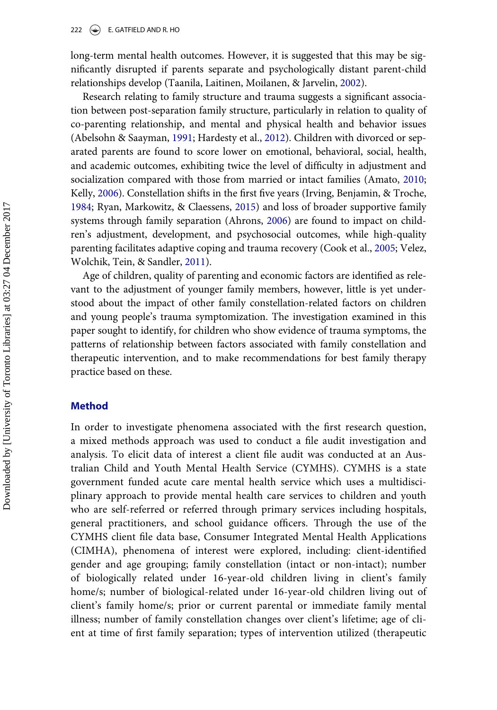long-term mental health outcomes. However, it is suggested that this may be significantly disrupted if parents separate and psychologically distant parent-child relationships develop (Taanila, Laitinen, Moilanen, & Jarvelin, [2002\)](#page-14-8).

Research relating to family structure and trauma suggests a significant association between post-separation family structure, particularly in relation to quality of co-parenting relationship, and mental and physical health and behavior issues (Abelsohn & Saayman, [1991](#page-13-9); Hardesty et al., [2012](#page-13-10)). Children with divorced or separated parents are found to score lower on emotional, behavioral, social, health, and academic outcomes, exhibiting twice the level of difficulty in adjustment and socialization compared with those from married or intact families (Amato, [2010;](#page-13-11) Kelly, [2006](#page-14-9)). Constellation shifts in the first five years (Irving, Benjamin, & Troche, [1984;](#page-13-12) Ryan, Markowitz, & Claessens, [2015](#page-14-10)) and loss of broader supportive family systems through family separation (Ahrons, [2006\)](#page-13-13) are found to impact on children's adjustment, development, and psychosocial outcomes, while high-quality parenting facilitates adaptive coping and trauma recovery (Cook et al., [2005;](#page-13-2) Velez, Wolchik, Tein, & Sandler, [2011](#page-14-11)).

Age of children, quality of parenting and economic factors are identified as relevant to the adjustment of younger family members, however, little is yet understood about the impact of other family constellation-related factors on children and young people's trauma symptomization. The investigation examined in this paper sought to identify, for children who show evidence of trauma symptoms, the patterns of relationship between factors associated with family constellation and therapeutic intervention, and to make recommendations for best family therapy practice based on these.

# Method

In order to investigate phenomena associated with the first research question, a mixed methods approach was used to conduct a file audit investigation and analysis. To elicit data of interest a client file audit was conducted at an Australian Child and Youth Mental Health Service (CYMHS). CYMHS is a state government funded acute care mental health service which uses a multidisciplinary approach to provide mental health care services to children and youth who are self-referred or referred through primary services including hospitals, general practitioners, and school guidance officers. Through the use of the CYMHS client file data base, Consumer Integrated Mental Health Applications (CIMHA), phenomena of interest were explored, including: client-identified gender and age grouping; family constellation (intact or non-intact); number of biologically related under 16-year-old children living in client's family home/s; number of biological-related under 16-year-old children living out of client's family home/s; prior or current parental or immediate family mental illness; number of family constellation changes over client's lifetime; age of client at time of first family separation; types of intervention utilized (therapeutic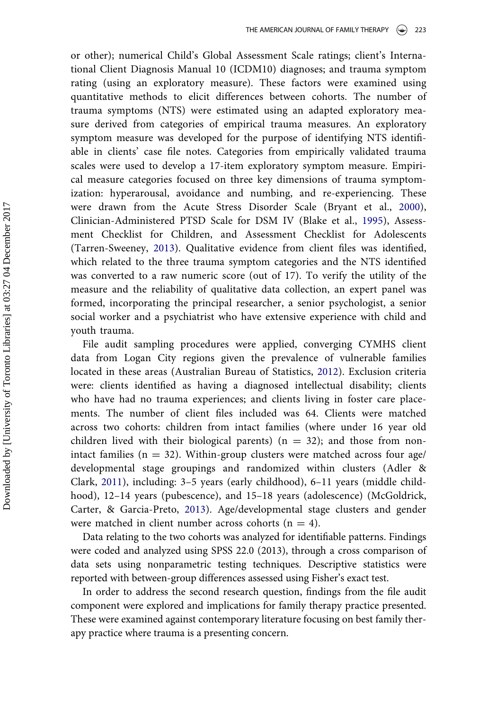or other); numerical Child's Global Assessment Scale ratings; client's International Client Diagnosis Manual 10 (ICDM10) diagnoses; and trauma symptom rating (using an exploratory measure). These factors were examined using quantitative methods to elicit differences between cohorts. The number of trauma symptoms (NTS) were estimated using an adapted exploratory measure derived from categories of empirical trauma measures. An exploratory symptom measure was developed for the purpose of identifying NTS identifiable in clients' case file notes. Categories from empirically validated trauma scales were used to develop a 17-item exploratory symptom measure. Empirical measure categories focused on three key dimensions of trauma symptomization: hyperarousal, avoidance and numbing, and re-experiencing. These were drawn from the Acute Stress Disorder Scale (Bryant et al., [2000\)](#page-13-4), Clinician-Administered PTSD Scale for DSM IV (Blake et al., [1995](#page-13-3)), Assessment Checklist for Children, and Assessment Checklist for Adolescents (Tarren-Sweeney, [2013](#page-14-3)). Qualitative evidence from client files was identified, which related to the three trauma symptom categories and the NTS identified was converted to a raw numeric score (out of 17). To verify the utility of the measure and the reliability of qualitative data collection, an expert panel was formed, incorporating the principal researcher, a senior psychologist, a senior social worker and a psychiatrist who have extensive experience with child and youth trauma.

File audit sampling procedures were applied, converging CYMHS client data from Logan City regions given the prevalence of vulnerable families located in these areas (Australian Bureau of Statistics, [2012](#page-13-14)). Exclusion criteria were: clients identified as having a diagnosed intellectual disability; clients who have had no trauma experiences; and clients living in foster care placements. The number of client files included was 64. Clients were matched across two cohorts: children from intact families (where under 16 year old children lived with their biological parents) ( $n = 32$ ); and those from nonintact families ( $n = 32$ ). Within-group clusters were matched across four age/ developmental stage groupings and randomized within clusters (Adler & Clark, [2011](#page-13-15)), including: 3–5 years (early childhood), 6–11 years (middle childhood), 12-14 years (pubescence), and 15-18 years (adolescence) (McGoldrick, Carter, & Garcia-Preto, [2013\)](#page-14-12). Age/developmental stage clusters and gender were matched in client number across cohorts ( $n = 4$ ).

Data relating to the two cohorts was analyzed for identifiable patterns. Findings were coded and analyzed using SPSS 22.0 (2013), through a cross comparison of data sets using nonparametric testing techniques. Descriptive statistics were reported with between-group differences assessed using Fisher's exact test.

In order to address the second research question, findings from the file audit component were explored and implications for family therapy practice presented. These were examined against contemporary literature focusing on best family therapy practice where trauma is a presenting concern.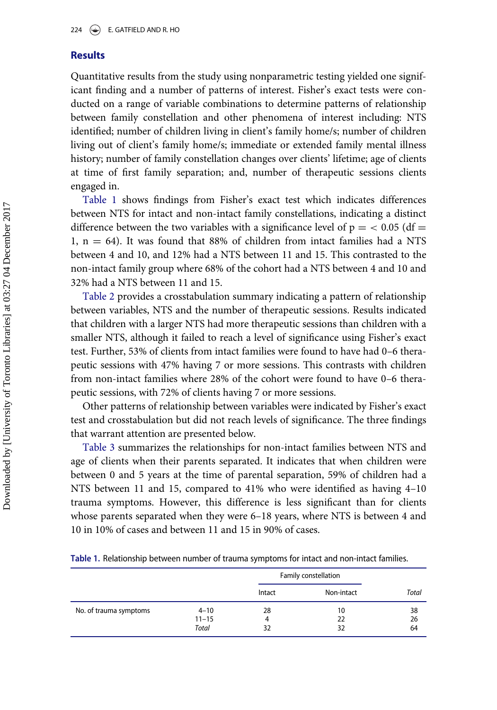# **Results**

Quantitative results from the study using nonparametric testing yielded one significant finding and a number of patterns of interest. Fisher's exact tests were conducted on a range of variable combinations to determine patterns of relationship between family constellation and other phenomena of interest including: NTS identified; number of children living in client's family home/s; number of children living out of client's family home/s; immediate or extended family mental illness history; number of family constellation changes over clients' lifetime; age of clients at time of first family separation; and, number of therapeutic sessions clients engaged in.

[Table 1](#page-5-0) shows findings from Fisher's exact test which indicates differences between NTS for intact and non-intact family constellations, indicating a distinct difference between the two variables with a significance level of  $p = 0.05$  (df = 1,  $n = 64$ ). It was found that 88% of children from intact families had a NTS between 4 and 10, and 12% had a NTS between 11 and 15. This contrasted to the non-intact family group where 68% of the cohort had a NTS between 4 and 10 and 32% had a NTS between 11 and 15.

[Table 2](#page-6-0) provides a crosstabulation summary indicating a pattern of relationship between variables, NTS and the number of therapeutic sessions. Results indicated that children with a larger NTS had more therapeutic sessions than children with a smaller NTS, although it failed to reach a level of significance using Fisher's exact test. Further, 53% of clients from intact families were found to have had 0–6 therapeutic sessions with 47% having 7 or more sessions. This contrasts with children from non-intact families where 28% of the cohort were found to have 0–6 therapeutic sessions, with 72% of clients having 7 or more sessions.

Other patterns of relationship between variables were indicated by Fisher's exact test and crosstabulation but did not reach levels of significance. The three findings that warrant attention are presented below.

[Table 3](#page-6-1) summarizes the relationships for non-intact families between NTS and age of clients when their parents separated. It indicates that when children were between 0 and 5 years at the time of parental separation, 59% of children had a NTS between 11 and 15, compared to 41% who were identified as having 4–10 trauma symptoms. However, this difference is less significant than for clients whose parents separated when they were 6–18 years, where NTS is between 4 and 10 in 10% of cases and between 11 and 15 in 90% of cases.

<span id="page-5-0"></span>

| Table 1. Relationship between number of trauma symptoms for intact and non-intact families. |  |
|---------------------------------------------------------------------------------------------|--|
|---------------------------------------------------------------------------------------------|--|

|                        |           | Family constellation |            |       |
|------------------------|-----------|----------------------|------------|-------|
|                        |           | Intact               | Non-intact | Total |
| No. of trauma symptoms | $4 - 10$  | 28                   | 10         | 38    |
|                        | $11 - 15$ | 4                    | 22         | 26    |
|                        | Total     | 32                   | 32         | 64    |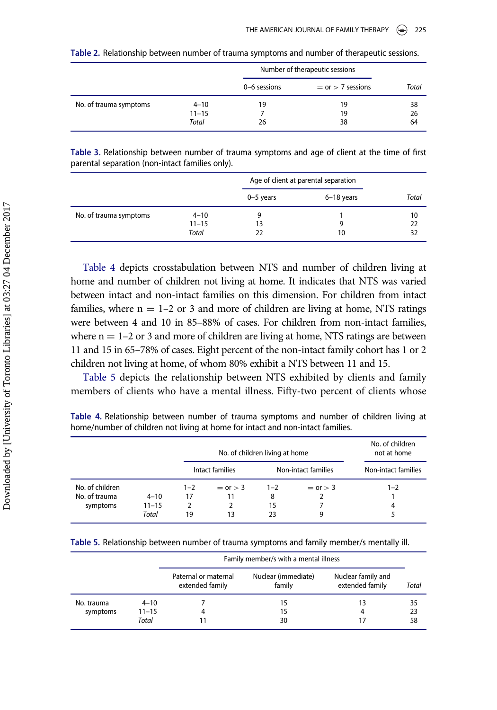<span id="page-6-0"></span>

|                        |           | Number of therapeutic sessions |                       |       |
|------------------------|-----------|--------------------------------|-----------------------|-------|
|                        |           | 0-6 sessions                   | $=$ or $>$ 7 sessions | Total |
| No. of trauma symptoms | $4 - 10$  | 19                             | 19                    | 38    |
|                        | $11 - 15$ |                                | 19                    | 26    |
|                        | Total     | 26                             | 38                    | 64    |

|  |  | Table 2. Relationship between number of trauma symptoms and number of therapeutic sessions. |
|--|--|---------------------------------------------------------------------------------------------|
|  |  |                                                                                             |

<span id="page-6-1"></span>Table 3. Relationship between number of trauma symptoms and age of client at the time of first parental separation (non-intact families only).

|                        |           | Age of client at parental separation |            |       |
|------------------------|-----------|--------------------------------------|------------|-------|
|                        |           | $0-5$ years                          | 6-18 years | Total |
| No. of trauma symptoms | $4 - 10$  |                                      |            | 10    |
|                        | $11 - 15$ | 13                                   |            | 22    |
|                        | Total     | 22                                   | 10         | 32    |

[Table 4](#page-6-2) depicts crosstabulation between NTS and number of children living at home and number of children not living at home. It indicates that NTS was varied between intact and non-intact families on this dimension. For children from intact families, where  $n = 1-2$  or 3 and more of children are living at home, NTS ratings were between 4 and 10 in 85–88% of cases. For children from non-intact families, where  $n = 1-2$  or 3 and more of children are living at home, NTS ratings are between 11 and 15 in 65–78% of cases. Eight percent of the non-intact family cohort has 1 or 2 children not living at home, of whom 80% exhibit a NTS between 11 and 15.

[Table 5](#page-6-3) depicts the relationship between NTS exhibited by clients and family members of clients who have a mental illness. Fifty-two percent of clients whose

<span id="page-6-2"></span>Table 4. Relationship between number of trauma symptoms and number of children living at home/number of children not living at home for intact and non-intact families.

|                 |           |         | No. of children living at home |         |                     | No. of children<br>not at home |
|-----------------|-----------|---------|--------------------------------|---------|---------------------|--------------------------------|
|                 |           |         | Intact families                |         | Non-intact families | Non-intact families            |
| No. of children |           | $1 - 2$ | $=$ or $>$ 3                   | $1 - 2$ | $=$ or $>$ 3        | $1 - 2$                        |
| No. of trauma   | $4 - 10$  | 17      | 11                             | 8       |                     |                                |
| symptoms        | $11 - 15$ |         |                                | 15      |                     | 4                              |
|                 | Total     | 19      | 13                             | 23      | q                   | 5                              |

<span id="page-6-3"></span>

|  | Table 5. Relationship between number of trauma symptoms and family member/s mentally ill. |  |  |  |
|--|-------------------------------------------------------------------------------------------|--|--|--|
|--|-------------------------------------------------------------------------------------------|--|--|--|

|                        |                       | Family member/s with a mental illness   |                               |                                       |          |
|------------------------|-----------------------|-----------------------------------------|-------------------------------|---------------------------------------|----------|
|                        |                       | Paternal or maternal<br>extended family | Nuclear (immediate)<br>family | Nuclear family and<br>extended family | Total    |
| No. trauma<br>symptoms | $4 - 10$<br>$11 - 15$ | 4                                       | 15<br>15                      | 13<br>4                               | 35<br>23 |
|                        | Total                 |                                         | 30                            |                                       | 58       |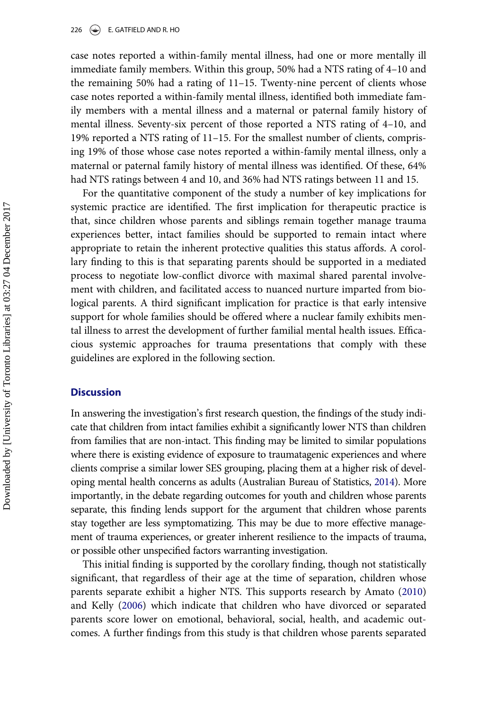#### 226  $\left(\bigstar\right)$  E. GATFIELD AND R. HO

case notes reported a within-family mental illness, had one or more mentally ill immediate family members. Within this group, 50% had a NTS rating of 4–10 and the remaining 50% had a rating of 11–15. Twenty-nine percent of clients whose case notes reported a within-family mental illness, identified both immediate family members with a mental illness and a maternal or paternal family history of mental illness. Seventy-six percent of those reported a NTS rating of 4–10, and 19% reported a NTS rating of 11–15. For the smallest number of clients, comprising 19% of those whose case notes reported a within-family mental illness, only a maternal or paternal family history of mental illness was identified. Of these, 64% had NTS ratings between 4 and 10, and 36% had NTS ratings between 11 and 15.

For the quantitative component of the study a number of key implications for systemic practice are identified. The first implication for therapeutic practice is that, since children whose parents and siblings remain together manage trauma experiences better, intact families should be supported to remain intact where appropriate to retain the inherent protective qualities this status affords. A corollary finding to this is that separating parents should be supported in a mediated process to negotiate low-conflict divorce with maximal shared parental involvement with children, and facilitated access to nuanced nurture imparted from biological parents. A third significant implication for practice is that early intensive support for whole families should be offered where a nuclear family exhibits mental illness to arrest the development of further familial mental health issues. Efficacious systemic approaches for trauma presentations that comply with these guidelines are explored in the following section.

# **Discussion**

In answering the investigation's first research question, the findings of the study indicate that children from intact families exhibit a significantly lower NTS than children from families that are non-intact. This finding may be limited to similar populations where there is existing evidence of exposure to traumatagenic experiences and where clients comprise a similar lower SES grouping, placing them at a higher risk of developing mental health concerns as adults (Australian Bureau of Statistics, [2014\)](#page-13-16). More importantly, in the debate regarding outcomes for youth and children whose parents separate, this finding lends support for the argument that children whose parents stay together are less symptomatizing. This may be due to more effective management of trauma experiences, or greater inherent resilience to the impacts of trauma, or possible other unspecified factors warranting investigation.

This initial finding is supported by the corollary finding, though not statistically significant, that regardless of their age at the time of separation, children whose parents separate exhibit a higher NTS. This supports research by Amato ([2010\)](#page-13-11) and Kelly ([2006\)](#page-14-9) which indicate that children who have divorced or separated parents score lower on emotional, behavioral, social, health, and academic outcomes. A further findings from this study is that children whose parents separated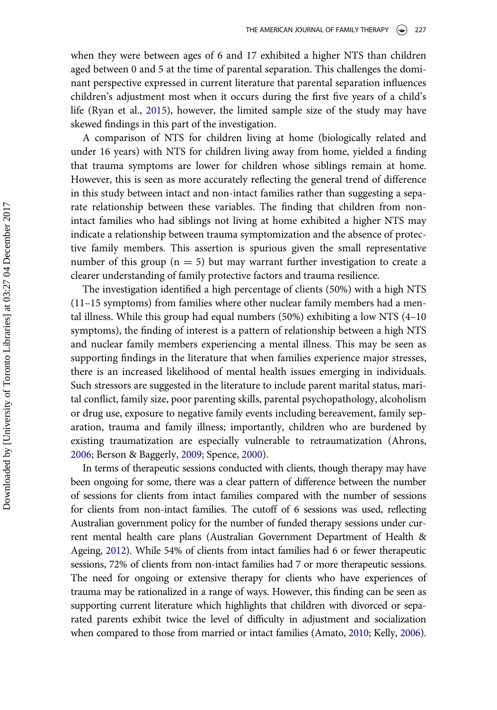when they were between ages of 6 and 17 exhibited a higher NTS than children aged between 0 and 5 at the time of parental separation. This challenges the dominant perspective expressed in current literature that parental separation influences children's adjustment most when it occurs during the first five years of a child's life (Ryan et al., [2015](#page-14-10)), however, the limited sample size of the study may have skewed findings in this part of the investigation.

A comparison of NTS for children living at home (biologically related and under 16 years) with NTS for children living away from home, yielded a finding that trauma symptoms are lower for children whose siblings remain at home. However, this is seen as more accurately reflecting the general trend of difference in this study between intact and non-intact families rather than suggesting a separate relationship between these variables. The finding that children from nonintact families who had siblings not living at home exhibited a higher NTS may indicate a relationship between trauma symptomization and the absence of protective family members. This assertion is spurious given the small representative number of this group ( $n = 5$ ) but may warrant further investigation to create a clearer understanding of family protective factors and trauma resilience.

The investigation identified a high percentage of clients (50%) with a high NTS (11–15 symptoms) from families where other nuclear family members had a mental illness. While this group had equal numbers (50%) exhibiting a low NTS (4–10 symptoms), the finding of interest is a pattern of relationship between a high NTS and nuclear family members experiencing a mental illness. This may be seen as supporting findings in the literature that when families experience major stresses, there is an increased likelihood of mental health issues emerging in individuals. Such stressors are suggested in the literature to include parent marital status, marital conflict, family size, poor parenting skills, parental psychopathology, alcoholism or drug use, exposure to negative family events including bereavement, family separation, trauma and family illness; importantly, children who are burdened by existing traumatization are especially vulnerable to retraumatization (Ahrons, [2006;](#page-13-13) Berson & Baggerly, [2009;](#page-13-5) Spence, [2000](#page-14-13)).

In terms of therapeutic sessions conducted with clients, though therapy may have been ongoing for some, there was a clear pattern of difference between the number of sessions for clients from intact families compared with the number of sessions for clients from non-intact families. The cutoff of 6 sessions was used, reflecting Australian government policy for the number of funded therapy sessions under current mental health care plans (Australian Government Department of Health & Ageing, [2012\)](#page-13-17). While 54% of clients from intact families had 6 or fewer therapeutic sessions, 72% of clients from non-intact families had 7 or more therapeutic sessions. The need for ongoing or extensive therapy for clients who have experiences of trauma may be rationalized in a range of ways. However, this finding can be seen as supporting current literature which highlights that children with divorced or separated parents exhibit twice the level of difficulty in adjustment and socialization when compared to those from married or intact families (Amato, [2010;](#page-13-11) Kelly, [2006](#page-14-9)).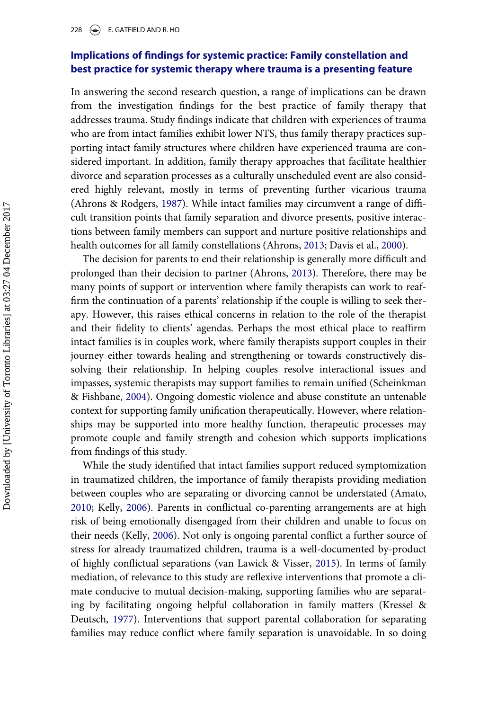# Implications of findings for systemic practice: Family constellation and best practice for systemic therapy where trauma is a presenting feature

In answering the second research question, a range of implications can be drawn from the investigation findings for the best practice of family therapy that addresses trauma. Study findings indicate that children with experiences of trauma who are from intact families exhibit lower NTS, thus family therapy practices supporting intact family structures where children have experienced trauma are considered important. In addition, family therapy approaches that facilitate healthier divorce and separation processes as a culturally unscheduled event are also considered highly relevant, mostly in terms of preventing further vicarious trauma (Ahrons & Rodgers, [1987\)](#page-13-18). While intact families may circumvent a range of difficult transition points that family separation and divorce presents, positive interactions between family members can support and nurture positive relationships and health outcomes for all family constellations (Ahrons, [2013;](#page-13-19) Davis et al., [2000\)](#page-13-1).

The decision for parents to end their relationship is generally more difficult and prolonged than their decision to partner (Ahrons, [2013\)](#page-13-19). Therefore, there may be many points of support or intervention where family therapists can work to reaffirm the continuation of a parents' relationship if the couple is willing to seek therapy. However, this raises ethical concerns in relation to the role of the therapist and their fidelity to clients' agendas. Perhaps the most ethical place to reaffirm intact families is in couples work, where family therapists support couples in their journey either towards healing and strengthening or towards constructively dissolving their relationship. In helping couples resolve interactional issues and impasses, systemic therapists may support families to remain unified (Scheinkman & Fishbane, [2004\)](#page-14-14). Ongoing domestic violence and abuse constitute an untenable context for supporting family unification therapeutically. However, where relationships may be supported into more healthy function, therapeutic processes may promote couple and family strength and cohesion which supports implications from findings of this study.

While the study identified that intact families support reduced symptomization in traumatized children, the importance of family therapists providing mediation between couples who are separating or divorcing cannot be understated (Amato, [2010;](#page-13-11) Kelly, [2006](#page-14-9)). Parents in conflictual co-parenting arrangements are at high risk of being emotionally disengaged from their children and unable to focus on their needs (Kelly, [2006\)](#page-14-9). Not only is ongoing parental conflict a further source of stress for already traumatized children, trauma is a well-documented by-product of highly conflictual separations (van Lawick & Visser, [2015\)](#page-14-15). In terms of family mediation, of relevance to this study are reflexive interventions that promote a climate conducive to mutual decision-making, supporting families who are separating by facilitating ongoing helpful collaboration in family matters (Kressel & Deutsch, [1977](#page-14-16)). Interventions that support parental collaboration for separating families may reduce conflict where family separation is unavoidable. In so doing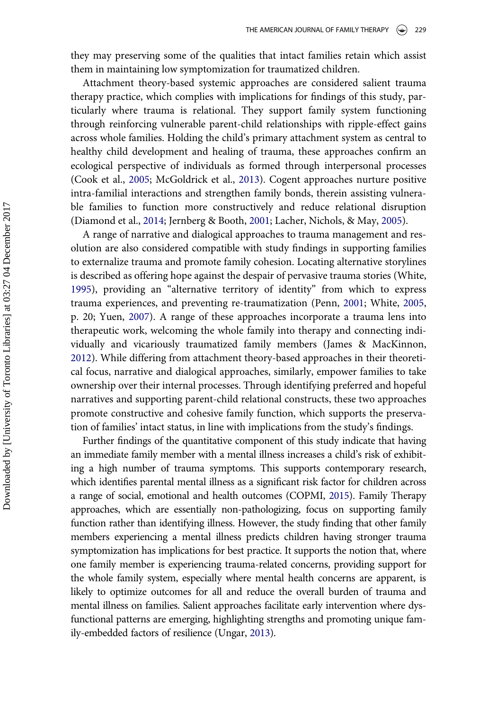they may preserving some of the qualities that intact families retain which assist them in maintaining low symptomization for traumatized children.

Attachment theory-based systemic approaches are considered salient trauma therapy practice, which complies with implications for findings of this study, particularly where trauma is relational. They support family system functioning through reinforcing vulnerable parent-child relationships with ripple-effect gains across whole families. Holding the child's primary attachment system as central to healthy child development and healing of trauma, these approaches confirm an ecological perspective of individuals as formed through interpersonal processes (Cook et al., [2005;](#page-13-2) McGoldrick et al., [2013](#page-14-12)). Cogent approaches nurture positive intra-familial interactions and strengthen family bonds, therein assisting vulnerable families to function more constructively and reduce relational disruption (Diamond et al., [2014](#page-13-8); Jernberg & Booth, [2001;](#page-14-17) Lacher, Nichols, & May, [2005\)](#page-14-18).

A range of narrative and dialogical approaches to trauma management and resolution are also considered compatible with study findings in supporting families to externalize trauma and promote family cohesion. Locating alternative storylines is described as offering hope against the despair of pervasive trauma stories (White, [1995\)](#page-15-0), providing an "alternative territory of identity" from which to express trauma experiences, and preventing re-traumatization (Penn, [2001](#page-14-19); White, [2005,](#page-15-1) p. 20; Yuen, [2007](#page-15-2)). A range of these approaches incorporate a trauma lens into therapeutic work, welcoming the whole family into therapy and connecting individually and vicariously traumatized family members (James & MacKinnon, [2012\)](#page-14-7). While differing from attachment theory-based approaches in their theoretical focus, narrative and dialogical approaches, similarly, empower families to take ownership over their internal processes. Through identifying preferred and hopeful narratives and supporting parent-child relational constructs, these two approaches promote constructive and cohesive family function, which supports the preservation of families' intact status, in line with implications from the study's findings.

Further findings of the quantitative component of this study indicate that having an immediate family member with a mental illness increases a child's risk of exhibiting a high number of trauma symptoms. This supports contemporary research, which identifies parental mental illness as a significant risk factor for children across a range of social, emotional and health outcomes (COPMI, [2015\)](#page-13-20). Family Therapy approaches, which are essentially non-pathologizing, focus on supporting family function rather than identifying illness. However, the study finding that other family members experiencing a mental illness predicts children having stronger trauma symptomization has implications for best practice. It supports the notion that, where one family member is experiencing trauma-related concerns, providing support for the whole family system, especially where mental health concerns are apparent, is likely to optimize outcomes for all and reduce the overall burden of trauma and mental illness on families. Salient approaches facilitate early intervention where dysfunctional patterns are emerging, highlighting strengths and promoting unique family-embedded factors of resilience (Ungar, [2013\)](#page-14-20).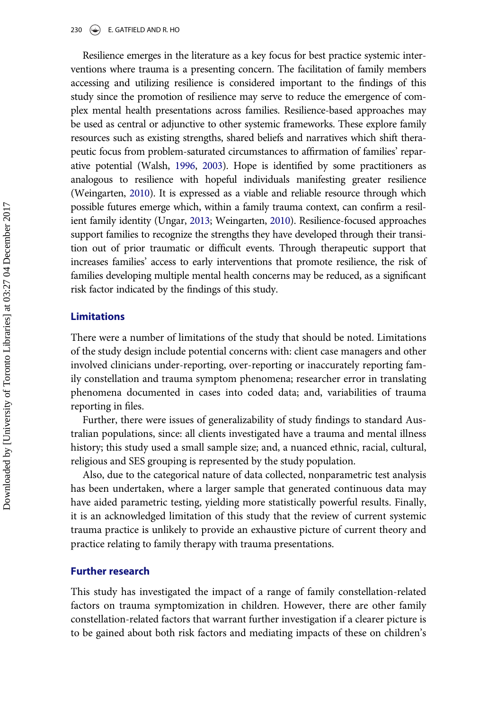Resilience emerges in the literature as a key focus for best practice systemic interventions where trauma is a presenting concern. The facilitation of family members accessing and utilizing resilience is considered important to the findings of this study since the promotion of resilience may serve to reduce the emergence of complex mental health presentations across families. Resilience-based approaches may be used as central or adjunctive to other systemic frameworks. These explore family resources such as existing strengths, shared beliefs and narratives which shift therapeutic focus from problem-saturated circumstances to affirmation of families' reparative potential (Walsh, [1996,](#page-14-21) [2003\)](#page-15-3). Hope is identified by some practitioners as analogous to resilience with hopeful individuals manifesting greater resilience (Weingarten, [2010\)](#page-15-4). It is expressed as a viable and reliable resource through which possible futures emerge which, within a family trauma context, can confirm a resilient family identity (Ungar, [2013;](#page-14-20) Weingarten, [2010](#page-15-4)). Resilience-focused approaches support families to recognize the strengths they have developed through their transition out of prior traumatic or difficult events. Through therapeutic support that increases families' access to early interventions that promote resilience, the risk of families developing multiple mental health concerns may be reduced, as a significant risk factor indicated by the findings of this study.

# Limitations

There were a number of limitations of the study that should be noted. Limitations of the study design include potential concerns with: client case managers and other involved clinicians under-reporting, over-reporting or inaccurately reporting family constellation and trauma symptom phenomena; researcher error in translating phenomena documented in cases into coded data; and, variabilities of trauma reporting in files.

Further, there were issues of generalizability of study findings to standard Australian populations, since: all clients investigated have a trauma and mental illness history; this study used a small sample size; and, a nuanced ethnic, racial, cultural, religious and SES grouping is represented by the study population.

Also, due to the categorical nature of data collected, nonparametric test analysis has been undertaken, where a larger sample that generated continuous data may have aided parametric testing, yielding more statistically powerful results. Finally, it is an acknowledged limitation of this study that the review of current systemic trauma practice is unlikely to provide an exhaustive picture of current theory and practice relating to family therapy with trauma presentations.

# Further research

This study has investigated the impact of a range of family constellation-related factors on trauma symptomization in children. However, there are other family constellation-related factors that warrant further investigation if a clearer picture is to be gained about both risk factors and mediating impacts of these on children's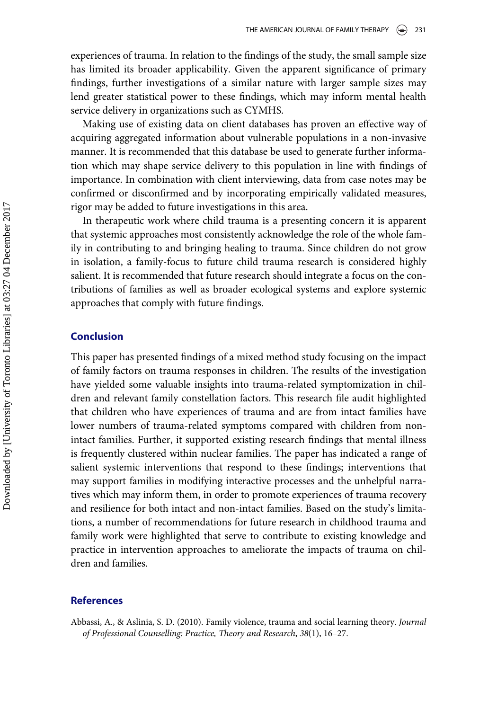experiences of trauma. In relation to the findings of the study, the small sample size has limited its broader applicability. Given the apparent significance of primary findings, further investigations of a similar nature with larger sample sizes may lend greater statistical power to these findings, which may inform mental health service delivery in organizations such as CYMHS.

Making use of existing data on client databases has proven an effective way of acquiring aggregated information about vulnerable populations in a non-invasive manner. It is recommended that this database be used to generate further information which may shape service delivery to this population in line with findings of importance. In combination with client interviewing, data from case notes may be confirmed or disconfirmed and by incorporating empirically validated measures, rigor may be added to future investigations in this area.

In therapeutic work where child trauma is a presenting concern it is apparent that systemic approaches most consistently acknowledge the role of the whole family in contributing to and bringing healing to trauma. Since children do not grow in isolation, a family-focus to future child trauma research is considered highly salient. It is recommended that future research should integrate a focus on the contributions of families as well as broader ecological systems and explore systemic approaches that comply with future findings.

# Conclusion

This paper has presented findings of a mixed method study focusing on the impact of family factors on trauma responses in children. The results of the investigation have yielded some valuable insights into trauma-related symptomization in children and relevant family constellation factors. This research file audit highlighted that children who have experiences of trauma and are from intact families have lower numbers of trauma-related symptoms compared with children from nonintact families. Further, it supported existing research findings that mental illness is frequently clustered within nuclear families. The paper has indicated a range of salient systemic interventions that respond to these findings; interventions that may support families in modifying interactive processes and the unhelpful narratives which may inform them, in order to promote experiences of trauma recovery and resilience for both intact and non-intact families. Based on the study's limitations, a number of recommendations for future research in childhood trauma and family work were highlighted that serve to contribute to existing knowledge and practice in intervention approaches to ameliorate the impacts of trauma on children and families.

# References

<span id="page-12-0"></span>Abbassi, A., & Aslinia, S. D. (2010). Family violence, trauma and social learning theory. Journal of Professional Counselling: Practice, Theory and Research, 38(1), 16–27.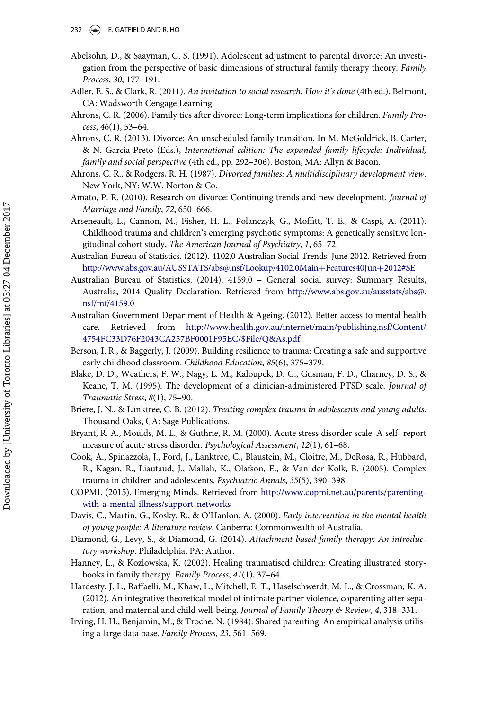- 232  $(\triangle)$  E. GATFIELD AND R. HO
- <span id="page-13-9"></span>Abelsohn, D., & Saayman, G. S. (1991). Adolescent adjustment to parental divorce: An investigation from the perspective of basic dimensions of structural family therapy theory. Family Process, 30, 177–191.
- <span id="page-13-15"></span>Adler, E. S., & Clark, R. (2011). An invitation to social research: How it's done (4th ed.). Belmont, CA: Wadsworth Cengage Learning.
- <span id="page-13-13"></span>Ahrons, C. R. (2006). Family ties after divorce: Long-term implications for children. Family Process, 46(1), 53–64.
- <span id="page-13-19"></span>Ahrons, C. R. (2013). Divorce: An unscheduled family transition. In M. McGoldrick, B. Carter, & N. Garcia-Preto (Eds.), International edition: The expanded family lifecycle: Individual, family and social perspective (4th ed., pp. 292–306). Boston, MA: Allyn & Bacon.
- <span id="page-13-18"></span>Ahrons, C. R., & Rodgers, R. H. (1987). Divorced families: A multidisciplinary development view. New York, NY: W.W. Norton & Co.
- <span id="page-13-11"></span>Amato, P. R. (2010). Research on divorce: Continuing trends and new development. Journal of Marriage and Family, 72, 650–666.
- <span id="page-13-7"></span>Arseneault, L., Cannon, M., Fisher, H. L., Polanczyk, G., Moffitt, T. E., & Caspi, A. (2011). Childhood trauma and children's emerging psychotic symptoms: A genetically sensitive longitudinal cohort study, The American Journal of Psychiatry, 1, 65–72.
- <span id="page-13-14"></span>Australian Bureau of Statistics. (2012). 4102.0 Australian Social Trends: June 2012. Retrieved from [http://www.abs.gov.au/AUSSTATS/abs@.nsf/Lookup/4102.0Main](http://www.abs.gov.au/AUSSTATS/abs@.nsf/Lookup/4102.0Main+Features40Jun+2012#SE)+[Features40Jun](http://www.abs.gov.au/AUSSTATS/abs@.nsf/Lookup/4102.0Main+Features40Jun+2012#SE)+[2012#SE](http://www.abs.gov.au/AUSSTATS/abs@.nsf/Lookup/4102.0Main+Features40Jun+2012#SE)
- <span id="page-13-16"></span>Australian Bureau of Statistics. (2014). 4159.0 – General social survey: Summary Results, Australia, 2014 Quality Declaration. Retrieved from [http://www.abs.gov.au/ausstats/abs@.](http://www.abs.gov.au/ausstats/abs@.nsf/mf/4159.0) [nsf/mf/4159.0](http://www.abs.gov.au/ausstats/abs@.nsf/mf/4159.0)
- <span id="page-13-17"></span>Australian Government Department of Health & Ageing. (2012). Better access to mental health care. Retrieved from [http://www.health.gov.au/internet/main/publishing.nsf/Content/](http://www.health.gov.au/internet/main/publishing.nsf/Content/4754FC33D76F2043CA257BF0001F95EC/$File/Q&As.pdf) [4754FC33D76F2043CA257BF0001F95EC/\\$File/Q&As.pdf](http://www.health.gov.au/internet/main/publishing.nsf/Content/4754FC33D76F2043CA257BF0001F95EC/$File/Q&As.pdf)
- <span id="page-13-5"></span>Berson, I. R., & Baggerly, J. (2009). Building resilience to trauma: Creating a safe and supportive early childhood classroom. Childhood Education, 85(6), 375–379.
- <span id="page-13-3"></span>Blake, D. D., Weathers, F. W., Nagy, L. M., Kaloupek, D. G., Gusman, F. D., Charney, D. S., & Keane, T. M. (1995). The development of a clinician-administered PTSD scale. Journal of Traumatic Stress, 8(1), 75–90.
- <span id="page-13-0"></span>Briere, J. N., & Lanktree, C. B. (2012). Treating complex trauma in adolescents and young adults. Thousand Oaks, CA: Sage Publications.
- <span id="page-13-4"></span>Bryant, R. A., Moulds, M. L., & Guthrie, R. M. (2000). Acute stress disorder scale: A self- report measure of acute stress disorder. Psychological Assessment, 12(1), 61–68.
- <span id="page-13-2"></span>Cook, A., Spinazzola, J., Ford, J., Lanktree, C., Blaustein, M., Cloitre, M., DeRosa, R., Hubbard, R., Kagan, R., Liautaud, J., Mallah, K., Olafson, E., & Van der Kolk, B. (2005). Complex trauma in children and adolescents. Psychiatric Annals, 35(5), 390–398.
- <span id="page-13-20"></span>COPMI. (2015). Emerging Minds. Retrieved from [http://www.copmi.net.au/parents/parenting](http://www.copmi.net.au/parents/parenting-with-a-mental-illness/support-networks)[with-a-mental-illness/support-networks](http://www.copmi.net.au/parents/parenting-with-a-mental-illness/support-networks)
- <span id="page-13-1"></span>Davis, C., Martin, G., Kosky, R., & O'Hanlon, A. (2000). Early intervention in the mental health of young people: A literature review. Canberra: Commonwealth of Australia.
- <span id="page-13-8"></span>Diamond, G., Levy, S., & Diamond, G. (2014). Attachment based family therapy: An introductory workshop. Philadelphia, PA: Author.
- <span id="page-13-6"></span>Hanney, L., & Kozlowska, K. (2002). Healing traumatised children: Creating illustrated storybooks in family therapy. Family Process, 41(1), 37–64.
- <span id="page-13-10"></span>Hardesty, J. L., Raffaelli, M., Khaw, L., Mitchell, E. T., Haselschwerdt, M. L., & Crossman, K. A. (2012). An integrative theoretical model of intimate partner violence, coparenting after separation, and maternal and child well-being. Journal of Family Theory & Review, 4, 318–331.
- <span id="page-13-12"></span>Irving, H. H., Benjamin, M., & Troche, N. (1984). Shared parenting: An empirical analysis utilising a large data base. Family Process, 23, 561–569.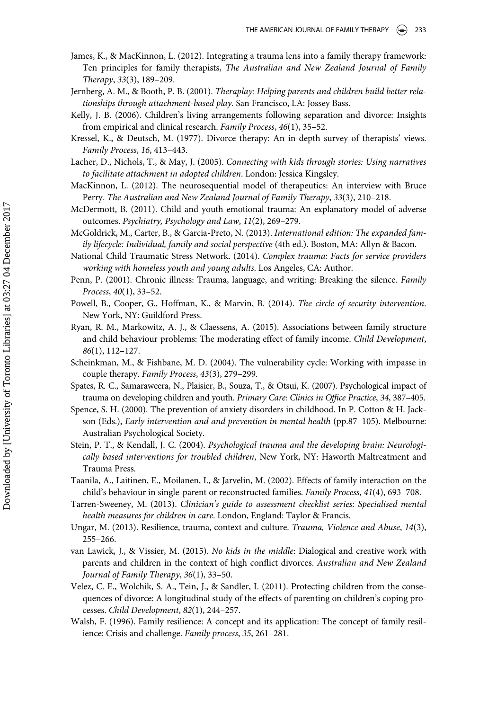- <span id="page-14-7"></span>James, K., & MacKinnon, L. (2012). Integrating a trauma lens into a family therapy framework: Ten principles for family therapists, The Australian and New Zealand Journal of Family Therapy, 33(3), 189–209.
- <span id="page-14-17"></span>Jernberg, A. M., & Booth, P. B. (2001). Theraplay: Helping parents and children build better relationships through attachment-based play. San Francisco, LA: Jossey Bass.
- <span id="page-14-9"></span>Kelly, J. B. (2006). Children's living arrangements following separation and divorce: Insights from empirical and clinical research. Family Process, 46(1), 35–52.
- <span id="page-14-16"></span>Kressel, K., & Deutsch, M. (1977). Divorce therapy: An in-depth survey of therapists' views. Family Process, 16, 413–443.
- <span id="page-14-18"></span>Lacher, D., Nichols, T., & May, J. (2005). Connecting with kids through stories: Using narratives to facilitate attachment in adopted children. London: Jessica Kingsley.
- <span id="page-14-4"></span>MacKinnon, L. (2012). The neurosequential model of therapeutics: An interview with Bruce Perry. The Australian and New Zealand Journal of Family Therapy, 33(3), 210–218.
- <span id="page-14-5"></span>McDermott, B. (2011). Child and youth emotional trauma: An explanatory model of adverse outcomes. Psychiatry, Psychology and Law, 11(2), 269–279.
- <span id="page-14-12"></span>McGoldrick, M., Carter, B., & Garcia-Preto, N. (2013). International edition: The expanded family lifecycle: Individual, family and social perspective (4th ed.). Boston, MA: Allyn & Bacon.
- <span id="page-14-0"></span>National Child Traumatic Stress Network. (2014). Complex trauma: Facts for service providers working with homeless youth and young adults. Los Angeles, CA: Author.
- <span id="page-14-19"></span>Penn, P. (2001). Chronic illness: Trauma, language, and writing: Breaking the silence. Family Process, 40(1), 33–52.
- <span id="page-14-6"></span>Powell, B., Cooper, G., Hoffman, K., & Marvin, B. (2014). The circle of security intervention. New York, NY: Guildford Press.
- <span id="page-14-10"></span>Ryan, R. M., Markowitz, A. J., & Claessens, A. (2015). Associations between family structure and child behaviour problems: The moderating effect of family income. Child Development, 86(1), 112–127.
- <span id="page-14-14"></span>Scheinkman, M., & Fishbane, M. D. (2004). The vulnerability cycle: Working with impasse in couple therapy. Family Process, 43(3), 279–299.
- <span id="page-14-1"></span>Spates, R. C., Samaraweera, N., Plaisier, B., Souza, T., & Otsui, K. (2007). Psychological impact of trauma on developing children and youth. Primary Care: Clinics in Office Practice, 34, 387–405.
- <span id="page-14-13"></span>Spence, S. H. (2000). The prevention of anxiety disorders in childhood. In P. Cotton & H. Jackson (Eds.), Early intervention and and prevention in mental health (pp.87–105). Melbourne: Australian Psychological Society.
- <span id="page-14-2"></span>Stein, P. T., & Kendall, J. C. (2004). Psychological trauma and the developing brain: Neurologically based interventions for troubled children, New York, NY: Haworth Maltreatment and Trauma Press.
- <span id="page-14-8"></span>Taanila, A., Laitinen, E., Moilanen, I., & Jarvelin, M. (2002). Effects of family interaction on the child's behaviour in single-parent or reconstructed families. Family Process, 41(4), 693–708.
- <span id="page-14-3"></span>Tarren-Sweeney, M. (2013). Clinician's guide to assessment checklist series: Specialised mental health measures for children in care. London, England: Taylor & Francis.
- <span id="page-14-20"></span>Ungar, M. (2013). Resilience, trauma, context and culture. Trauma, Violence and Abuse, 14(3), 255–266.
- <span id="page-14-15"></span>van Lawick, J., & Vissier, M. (2015). No kids in the middle: Dialogical and creative work with parents and children in the context of high conflict divorces. Australian and New Zealand Journal of Family Therapy, 36(1), 33–50.
- <span id="page-14-11"></span>Velez, C. E., Wolchik, S. A., Tein, J., & Sandler, I. (2011). Protecting children from the consequences of divorce: A longitudinal study of the effects of parenting on children's coping processes. Child Development, 82(1), 244–257.
- <span id="page-14-21"></span>Walsh, F. (1996). Family resilience: A concept and its application: The concept of family resilience: Crisis and challenge. Family process, 35, 261–281.